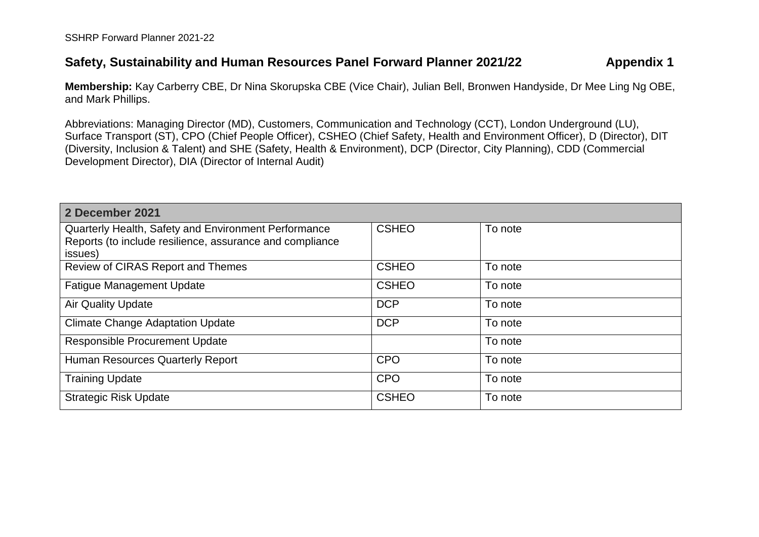## **Safety, Sustainability and Human Resources Panel Forward Planner 2021/22 Appendix 1**

**Membership:** Kay Carberry CBE, Dr Nina Skorupska CBE (Vice Chair), Julian Bell, Bronwen Handyside, Dr Mee Ling Ng OBE, and Mark Phillips.

Abbreviations: Managing Director (MD), Customers, Communication and Technology (CCT), London Underground (LU), Surface Transport (ST), CPO (Chief People Officer), CSHEO (Chief Safety, Health and Environment Officer), D (Director), DIT (Diversity, Inclusion & Talent) and SHE (Safety, Health & Environment), DCP (Director, City Planning), CDD (Commercial Development Director), DIA (Director of Internal Audit)

| 2 December 2021                                                     |              |         |  |
|---------------------------------------------------------------------|--------------|---------|--|
| Quarterly Health, Safety and Environment Performance                | <b>CSHEO</b> | To note |  |
| Reports (to include resilience, assurance and compliance<br>issues) |              |         |  |
| Review of CIRAS Report and Themes                                   | <b>CSHEO</b> | To note |  |
| <b>Fatigue Management Update</b>                                    | <b>CSHEO</b> | To note |  |
| <b>Air Quality Update</b>                                           | <b>DCP</b>   | To note |  |
| <b>Climate Change Adaptation Update</b>                             | <b>DCP</b>   | To note |  |
| <b>Responsible Procurement Update</b>                               |              | To note |  |
| <b>Human Resources Quarterly Report</b>                             | <b>CPO</b>   | To note |  |
| <b>Training Update</b>                                              | <b>CPO</b>   | To note |  |
| <b>Strategic Risk Update</b>                                        | <b>CSHEO</b> | To note |  |